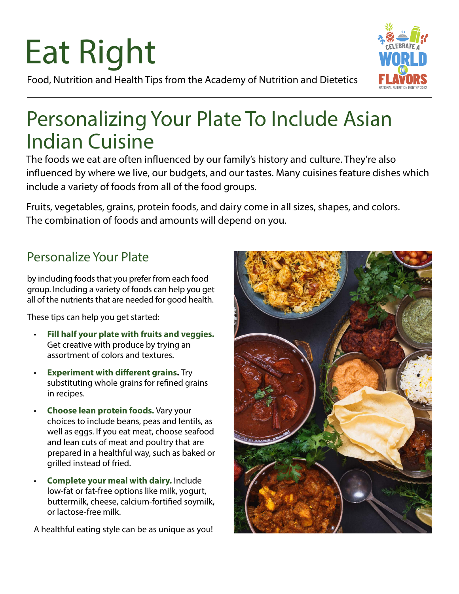# Eat Right



Food, Nutrition and Health Tips from the Academy of Nutrition and Dietetics

### Personalizing Your Plate To Include Asian Indian Cuisine

The foods we eat are often influenced by our family's history and culture. They're also influenced by where we live, our budgets, and our tastes. Many cuisines feature dishes which include a variety of foods from all of the food groups.

Fruits, vegetables, grains, protein foods, and dairy come in all sizes, shapes, and colors. The combination of foods and amounts will depend on you.

#### Personalize Your Plate

by including foods that you prefer from each food group. Including a variety of foods can help you get all of the nutrients that are needed for good health.

These tips can help you get started:

- **Fill half your plate with fruits and veggies.** Get creative with produce by trying an assortment of colors and textures.
- **Experiment with different grains.** Try substituting whole grains for refined grains in recipes.
- **Choose lean protein foods.** Vary your choices to include beans, peas and lentils, as well as eggs. If you eat meat, choose seafood and lean cuts of meat and poultry that are prepared in a healthful way, such as baked or grilled instead of fried.
- **Complete your meal with dairy.** Include low-fat or fat-free options like milk, yogurt, buttermilk, cheese, calcium-fortified soymilk, or lactose-free milk.

A healthful eating style can be as unique as you!